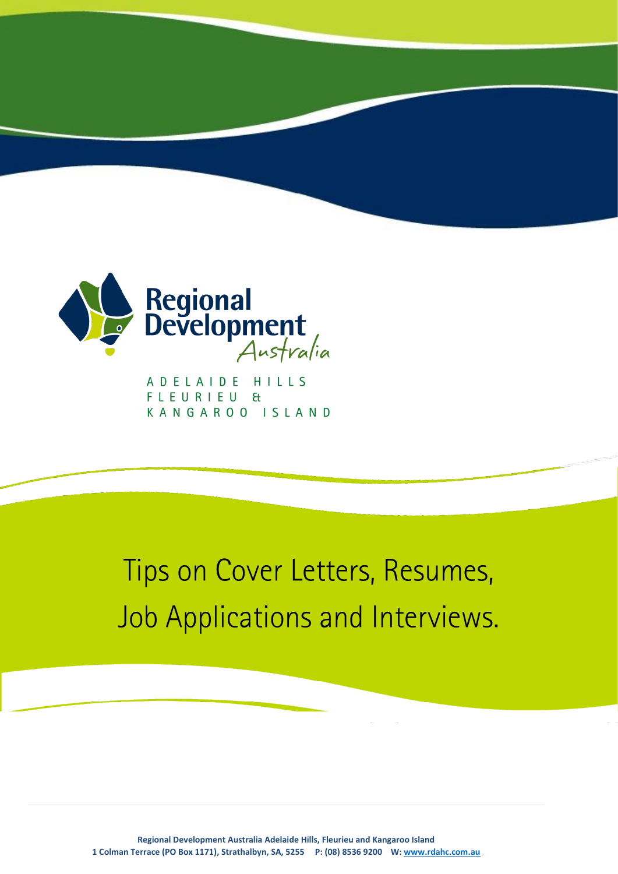

ADELAIDE HILLS FLEURIEU & KANGAROO ISLAND

# Tips on Cover Letters, Resumes, Job Applications and Interviews.

**Regional Development Australia Adelaide Hills, Fleurieu and Kangaroo Island 1 Colman Terrace (PO Box 1171), Strathalbyn, SA, 5255 P: (08) 8536 9200 W[: www.rdahc.com.au](http://www.rdahc.com.au/)**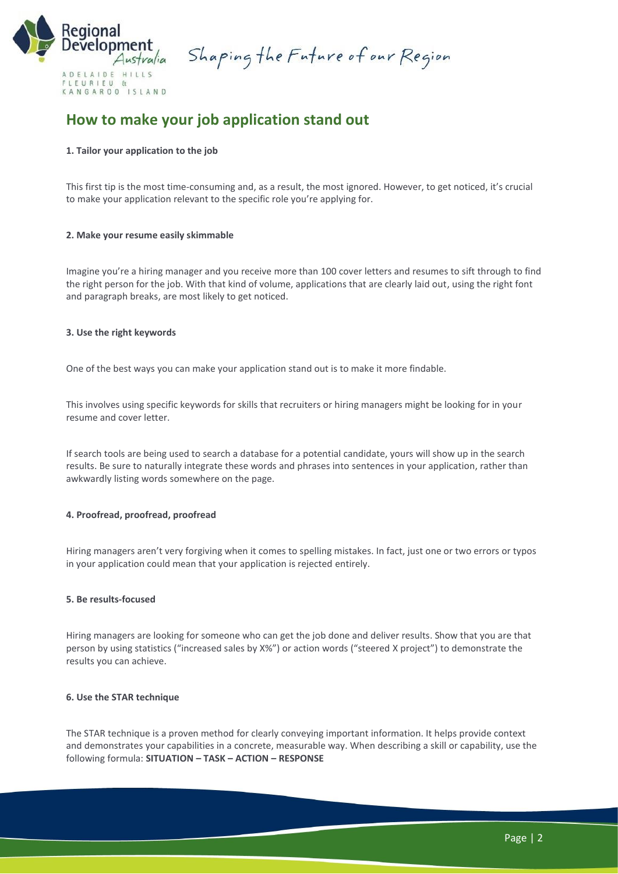

Shaping the Future of our Region

# **How to make your job application stand out**

# **1. Tailor your application to the job**

This first tip is the most time-consuming and, as a result, the most ignored. However, to get noticed, it's crucial to make your application relevant to the specific role you're applying for.

# **2. Make your resume easily skimmable**

Imagine you're a hiring manager and you receive more than 100 cover letters and resumes to sift through to find the right person for the job. With that kind of volume, applications that are clearly laid out, using the right font and paragraph breaks, are most likely to get noticed.

# **3. Use the right keywords**

One of the best ways you can make your application stand out is to make it more findable.

This involves using specific keywords for skills that recruiters or hiring managers might be looking for in your resume and cover letter.

If search tools are being used to search a database for a potential candidate, yours will show up in the search results. Be sure to naturally integrate these words and phrases into sentences in your application, rather than awkwardly listing words somewhere on the page.

# **4. Proofread, proofread, proofread**

Hiring managers aren't very forgiving when it comes to spelling mistakes. In fact, just one or two errors or typos in your application could mean that your application is rejected entirely.

#### **5. Be results-focused**

Hiring managers are looking for someone who can get the job done and deliver results. Show that you are that person by using statistics ("increased sales by X%") or action words ("steered X project") to demonstrate the results you can achieve.

#### **6. Use the STAR technique**

The STAR technique is a proven method for clearly conveying important information. It helps provide context and demonstrates your capabilities in a concrete, measurable way. When describing a skill or capability, use the following formula: **SITUATION – TASK – ACTION – RESPONSE**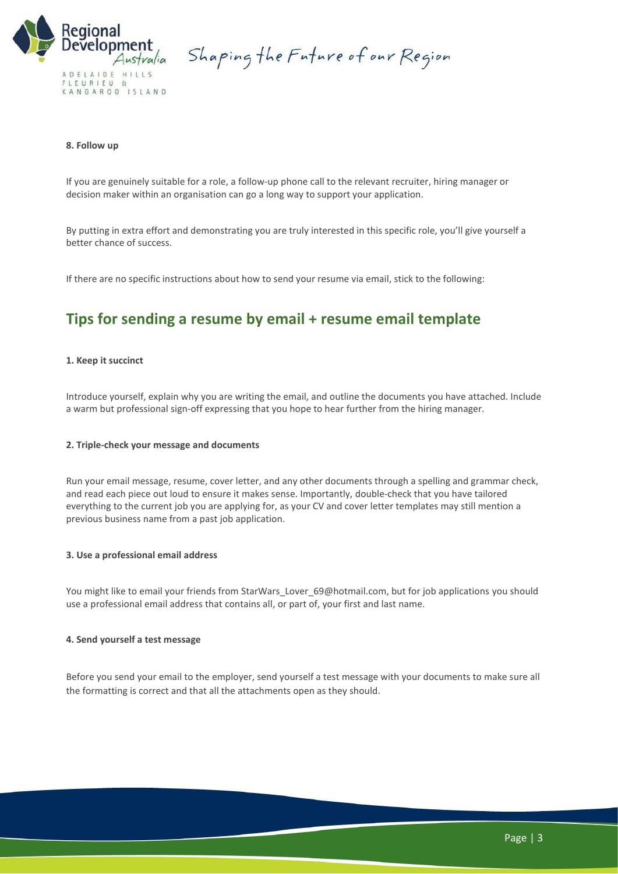

Shaping the Future of our Region

# **8. Follow up**

If you are genuinely suitable for a role, a follow-up phone [call to the relevant recruiter,](https://www.michaelpage.com.au/advice/career-advice/changing-jobs/inside-head-recruiter-how-help-us-help-you-find-job) hiring manager or decision maker within an organisation can go a long way to support your application.

By putting in extra effort and demonstrating you are truly interested in this specific role, you'll give yourself a better chance of success.

If there are no specific instructions about how to send your resume via email, stick to the following:

# **Tips for sending a resume by email + resume email template**

#### **1. Keep it succinct**

Introduce yourself, explain why you are writing the email, and outline the documents you have attached. Include a warm but professional sign-off expressing that you hope to hear further from the hiring manager.

#### **2. Triple-check your message and documents**

Run your email message, resume, cover letter, and any other documents through a spelling and grammar check, and read each piece out loud to ensure it makes sense. Importantly, double-check that you have tailored everything to the current job you are applying for, as your CV and cover letter templates may still mention a previous business name from a past job application.

#### **3. Use a professional email address**

You might like to email your friends from StarWars\_Lover\_69@hotmail.com, but for job applications you should use a professional email address that contains all, or part of, your first and last name.

## **4. Send yourself a test message**

Before you send your email to the employer, send yourself a test message with your documents to make sure all the formatting is correct and that all the attachments open as they should.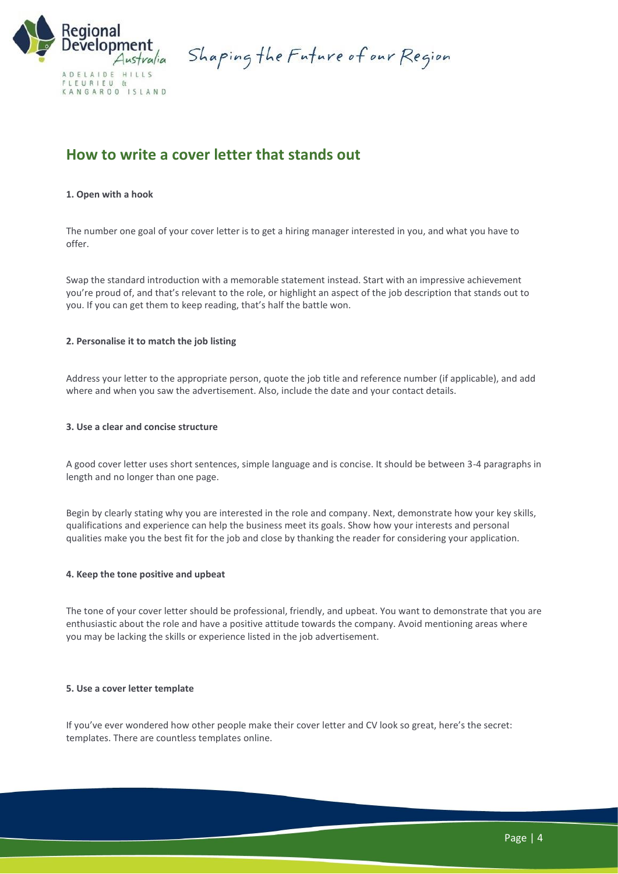

Shaping the Future of our Region

# **How to write a cover letter that stands out**

# **1. Open with a hook**

The number one goal of your cover letter is to get a hiring manager interested in you, and what you have to offer.

Swap the standard introduction with a memorable statement instead. Start with an impressive achievement you're proud of, and that's relevant to the role, or highlight an aspect of the [job description](https://www.michaelpage.com.au/advice/management-advice/hiring/how-write-effective-job-description) that stands out to you. If you can get them to keep reading, that's half the battle won.

# **2. Personalise it to match the job listing**

Address your letter to the appropriate person, quote the job title and reference number (if applicable), and add where and when you saw the advertisement. Also, include the date and your contact details.

# **3. Use a clear and concise structure**

A good cover letter uses short sentences, simple language and is concise. It should be between 3-4 paragraphs in length and no longer than one page.

Begin by clearly stating why you are interested in the role and company. Next, demonstrate how your key skills, qualifications and experience can help the business meet its goals. Show how your interests and personal qualities make you the best fit for the job and close by thanking the reader for considering your application.

## **4. Keep the tone positive and upbeat**

The tone of your cover letter should be professional, friendly, and upbeat. You want to demonstrate that you are enthusiastic about the role and have a positive attitude towards the company. Avoid mentioning areas where you may be lacking the skills or experience listed in the job advertisement.

# **5. Use a cover letter template**

If you've ever wondered how other people make their cover letter and CV look so great, here's the secret: templates. There are countless templates online.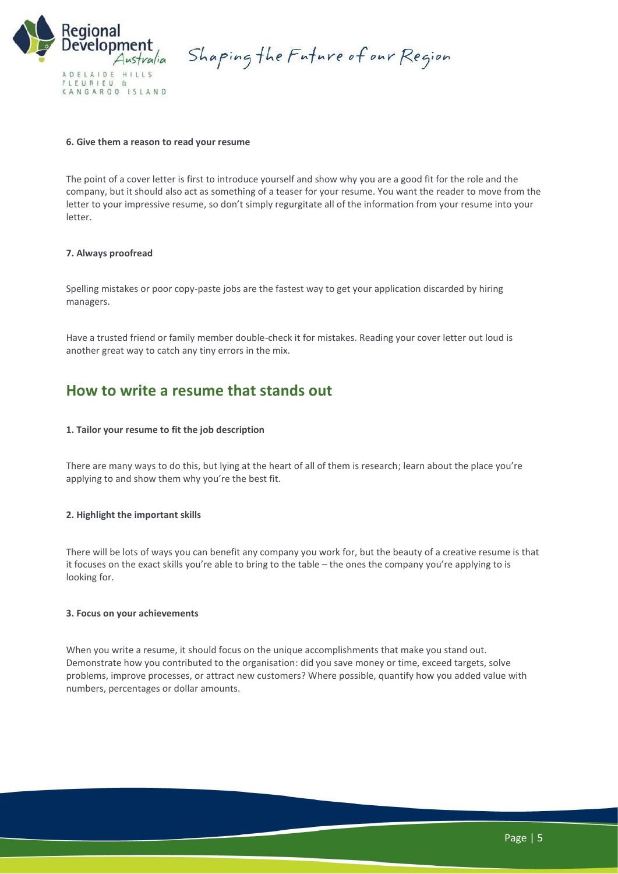

Shaping the Future of our Region

## **6. Give them a reason to read your resume**

The point of a cover letter is first to introduce yourself and show why you are a good fit for the role and the company, but it should also act as something of a teaser for your resume. You want the reader to move from the letter to your [impressive resume](https://www.michaelpage.com.au/advice/career-advice/resume-and-cover-letter/how-write-winning-resume), so don't simply regurgitate all of the information from your resume into your letter.

# **7. Always proofread**

Spelling mistakes or poor copy-paste jobs are the fastest way to get your application discarded by hiring managers.

Have a trusted friend or family member double-check it for mistakes. Reading your cover letter out loud is another great way to catch any tiny errors in the mix.

# **How to write a resume that stands out**

# **1. Tailor your resume to fit the job description**

There are many ways to do this, but lying at the heart of all of them is research; learn about the place you're applying to and show them why you're the best fit.

# **2. Highlight the important skills**

There will be lots of ways you can benefit any company you work for, but the beauty of a creative resume is that it focuses on the exact skills you're able to bring to the table – the ones the company you're applying to is looking for.

# **3. Focus on your achievements**

When you write a resume, it should focus on the unique accomplishments that make you stand out. Demonstrate how you contributed to the organisation: did you save money or time, exceed targets, solve problems, improve processes, or attract new customers? Where possible, quantify how you added value with numbers, percentages or dollar amounts.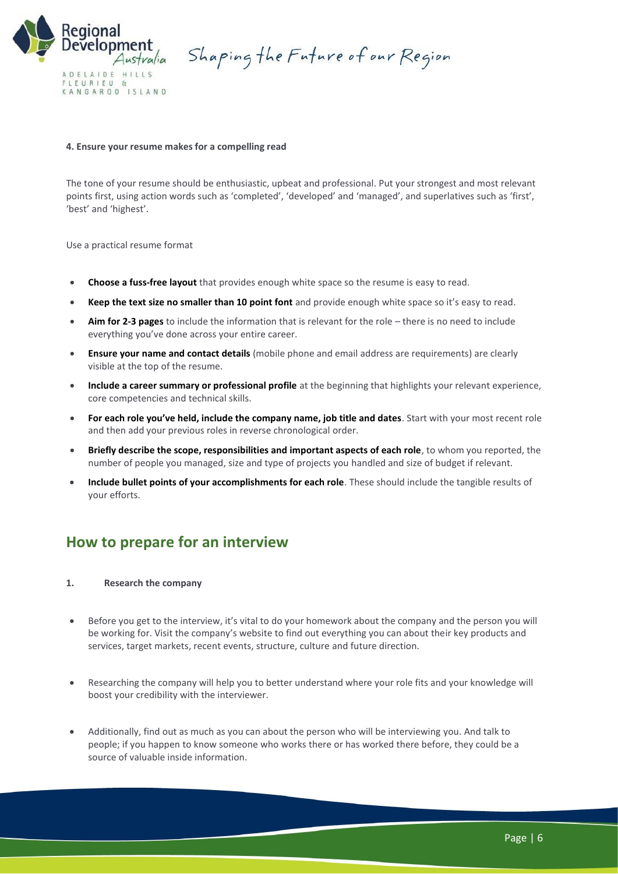

Shaping the Future of our Region

#### **4. Ensure your resume makes for a compelling read**

The tone of your resume should be enthusiastic, upbeat and professional. Put your strongest and most relevant points first, using action words such as 'completed', 'developed' and 'managed', and superlatives such as 'first', 'best' and 'highest'.

Use a practical resume format

- **Choose a fuss-free layout** that provides enough white space so the resume is easy to read.
- **Keep the text size no smaller than 10 point font** and provide enough white space so it's easy to read.
- **Aim for 2-3 pages** to include the information that is relevant for the role there is no need to include everything you've done across your entire career.
- **Ensure your name and contact details** (mobile phone and email address are requirements) are clearly visible at the top of the resume.
- **Include a career summary or professional profile** at the beginning that highlights your relevant experience, core competencies and technical skills.
- **For each role you've held, include the company name, job title and dates**. Start with your most recent role and then add your previous roles in reverse chronological order.
- **Briefly describe the scope, responsibilities and important aspects of each role**, to whom you reported, the number of people you managed, size and type of projects you handled and size of budget if relevant.
- **Include bullet points of your accomplishments for each role**. These should include the tangible results of your efforts.

# **How to prepare for an interview**

# **1. Research the company**

- Before you get to the interview, it's vital to do your homework about the company and the person you will be working for. Visit the company's website to find out everything you can about their key products and services, target markets, recent events, structure, culture and future direction.
- Researching the company will help you to better understand where your role fits and your knowledge will boost your credibility with the interviewer.
- Additionally, find out as much as you can about the person who will be interviewing you. And talk to people; if you happen to know someone who works there or has worked there before, they could be a source of valuable inside information.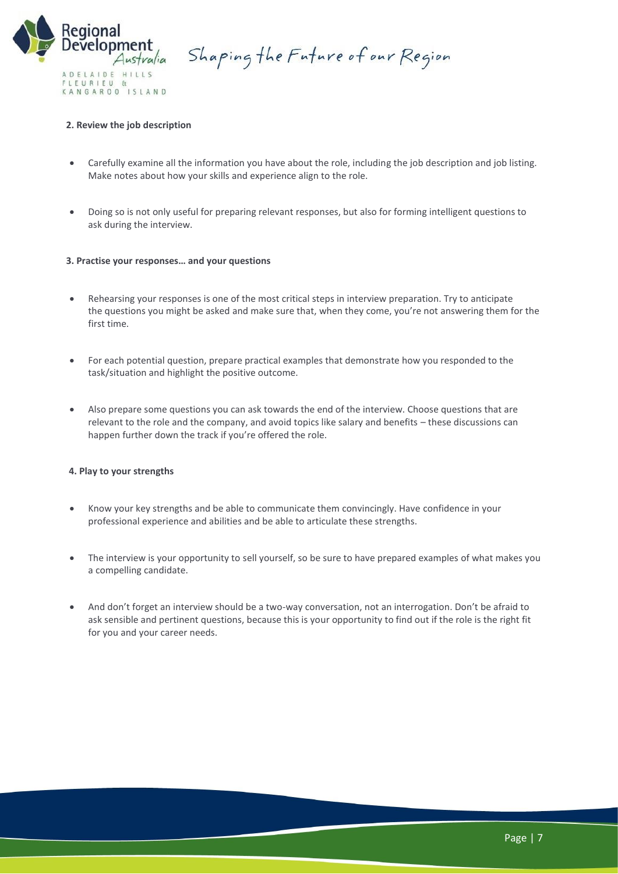

Shaping the Future of our Region

# **2. Review the job description**

- Carefully examine all the information you have about the role, including the job description and job listing. Make notes about how your skills and experience align to the role.
- Doing so is not only useful for preparing relevant responses, but also for forming intelligent questions to ask during the interview.

# **3. Practise your responses… and your questions**

- Rehearsing your responses is one of the most critical steps in interview preparation. Try to anticipate the [questions you might be asked](https://www.michaelpage.com.au/advice/career-advice/interview/common-interview-questions) and make sure that, when they come, you're not answering them for the first time.
- For each potential question, prepare practical examples that demonstrate how you responded to the task/situation and highlight the positive outcome.
- Also prepare some questions you can ask towards the end of the interview. Choose questions that are relevant to the role and the company, and avoid topics like salary and benefits – these discussions can happen further down the track if you're offered the role.

#### **4. Play to your strengths**

- Know your key strengths and be able to communicate them convincingly. Have confidence in your professional experience and abilities and be able to articulate these strengths.
- The interview is your opportunity to [sell yourself,](https://www.michaelpage.com.au/advice/career-advice/interview/how-sell-yourself-interview-presentation) so be sure to have prepared examples of what makes you a compelling candidate.
- And don't forget an interview should be a two-way conversation, not an interrogation. Don't be afraid to ask sensible and pertinent questions, because this is your opportunity to find out if the role is the right fit for you and your career needs.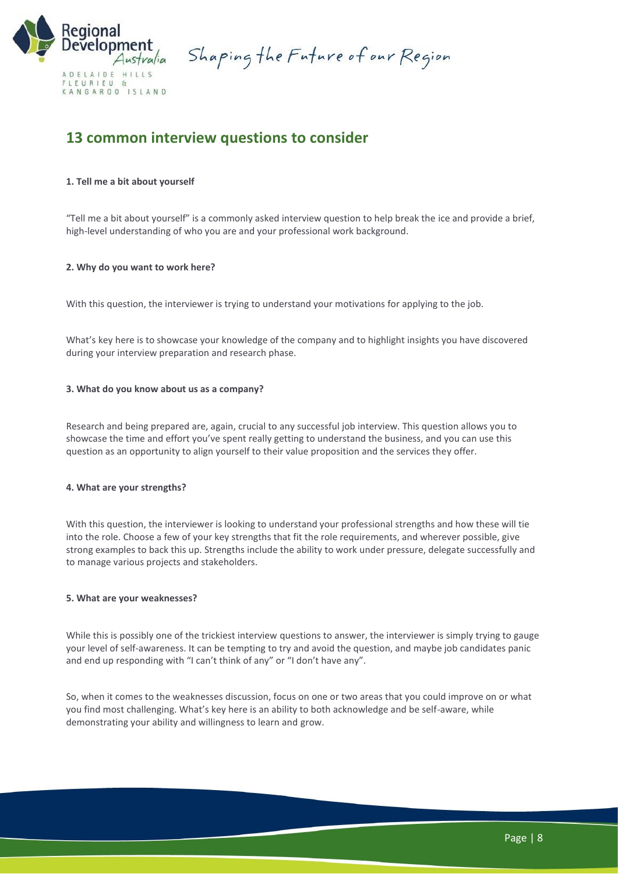

Shaping the Future of our Region

# **13 common interview questions to consider**

# **1. Tell me a bit about yourself**

"Tell me a bit about yourself" is a commonly asked interview question to help break the ice and provide a brief, high-level understanding of who you are and your professional work background.

# **2. Why do you want to work here?**

With this question, the interviewer is trying to understand your motivations for applying to the job.

What's key here is to showcase your knowledge of the company and to highlight insights you have discovered during your interview preparation and research phase.

# **3. What do you know about us as a company?**

Research and being prepared are, again, crucial to any successful job interview. This question allows you to showcase the time and effort you've spent really getting to understand the business, and you can use this question as an opportunity to align yourself to their value proposition and the services they offer.

#### **4. What are your strengths?**

With this question, the interviewer is looking to understand your professional strengths and how these will tie into the role. Choose a few of your key strengths that fit the role requirements, and wherever possible, give strong examples to back this up. Strengths include the ability to work under pressure, delegate successfully and to manage various projects and stakeholders.

#### **5. What are your weaknesses?**

While this is possibly one of the trickiest interview questions to answer, the interviewer is simply trying to gauge your level of self-awareness. It can be tempting to try and avoid the question, and maybe job candidates panic and end up responding with "I can't think of any" or "I don't have any".

So, when it comes to the weaknesses discussion, focus on one or two areas that you could improve on or what you find most challenging. What's key here is an ability to both acknowledge and be self-aware, while demonstrating your ability and willingness to learn and grow.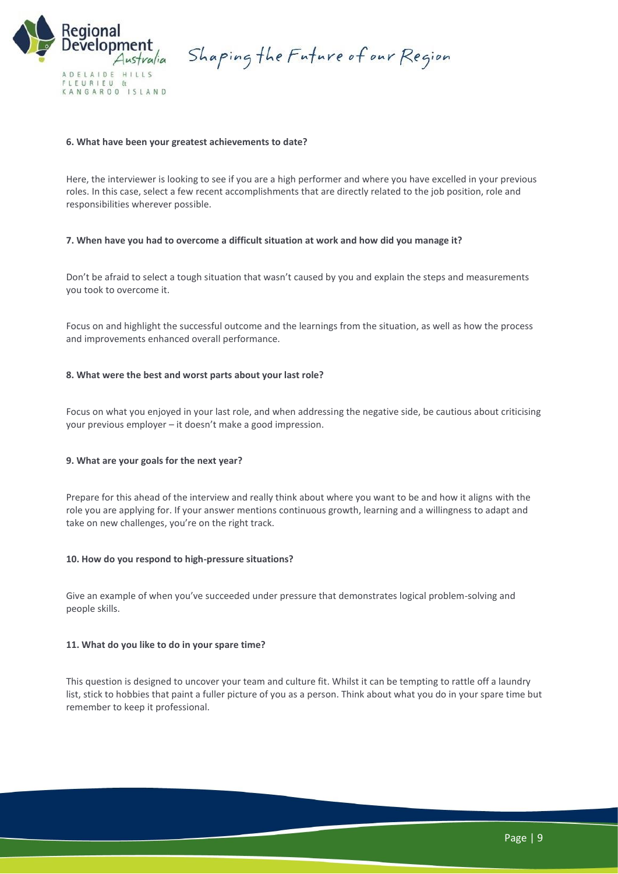

Shaping the Future of our Region

# **6. What have been your greatest achievements to date?**

Here, the interviewer is looking to see if you are a high performer and where you have excelled in your previous roles. In this case, select a few recent accomplishments that are directly related to the job position, role and responsibilities wherever possible.

# **7. When have you had to overcome a difficult situation at work and how did you manage it?**

Don't be afraid to select a tough situation that wasn't caused by you and explain the steps and measurements you took to overcome it.

Focus on and highlight the successful outcome and the learnings from the situation, as well as how the process and improvements enhanced overall performance.

# **8. What were the best and worst parts about your last role?**

Focus on what you enjoyed in your last role, and when addressing the negative side, be cautious about criticising your previous employer – it doesn't make a good impression.

# **9. What are your goals for the next year?**

Prepare for this ahead of the interview and really think about where you want to be and how it aligns with the role you are applying for. If your answer mentions continuous growth, learning and a willingness to adapt and take on new challenges, you're on the right track.

#### **10. How do you respond to high-pressure situations?**

Give an example of when you've succeeded under pressure that demonstrates logical problem-solving and people skills.

#### **11. What do you like to do in your spare time?**

This question is designed to [uncover your team and culture fit.](https://www.michaelpage.com.au/advice/management-advice/engagement-and-retention/how-build-positive-company-culture) Whilst it can be tempting to rattle off a laundry list, stick to hobbies that paint a fuller picture of you as a person. Think about what you do in your spare time but remember to keep it professional.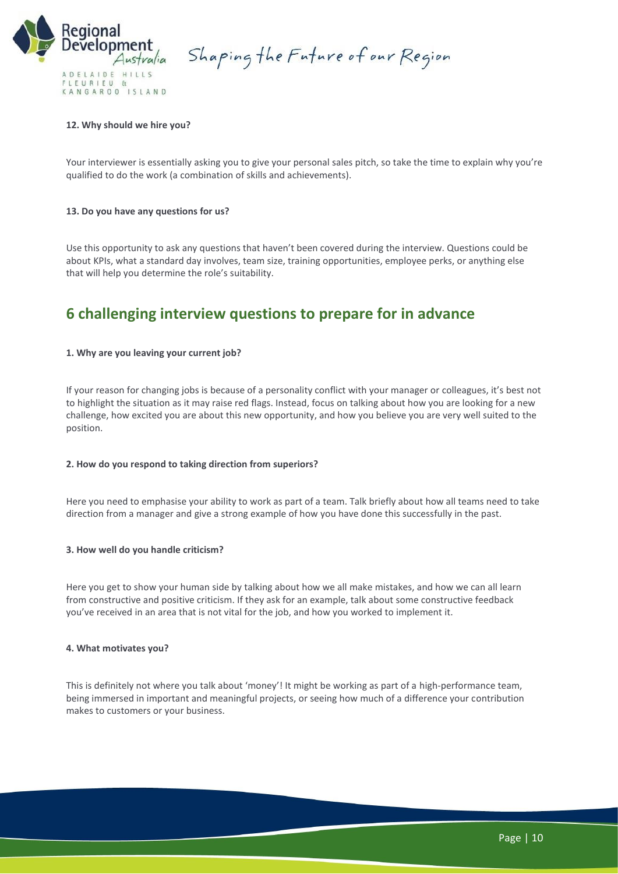

Shaping the Future of our Region

# **12. Why should we hire you?**

Your interviewer is essentially asking you to give your personal sales pitch, so take the time to explain why you're qualified to do the work (a combination of skills and achievements).

## **13. Do you have any questions for us?**

Use this opportunity to ask any questions that haven't been covered during the interview. Questions could be about KPIs, what a standard day involves, team size, training opportunities, employee perks, or anything else that will help you determine the role's suitability.

# **6 challenging interview questions to prepare for in advance**

#### **1. Why are you leaving your current job?**

If your reason for changing jobs is because of a personality conflict with your manager or colleagues, it's best not to highlight the situation as it may raise red flags. Instead, focus on talking about how you are looking for a new challenge, how excited you are about this new opportunity, and how you believe you are very well suited to the position.

#### **2. How do you respond to taking direction from superiors?**

Here you need to emphasise your ability to work as part of a team. Talk briefly about how all teams need to take direction from a manager and [give a strong example](https://www.michaelpage.com.au/advice/career-advice/interview/how-answer-competency-based-interview-questions) of how you have done this successfully in the past.

#### **3. How well do you handle criticism?**

Here you get to show your human side by talking about how we all make mistakes, and how we can all learn from constructive and positive criticism. If they ask for an example, talk about some constructive feedback you've received in an area that is not vital for the job, and how you worked to implement it.

#### **4. What motivates you?**

This is definitely not where you talk about 'money'! It might be working as part of a high-performance team, being immersed in important and meaningful projects, or seeing how much of a difference your contribution makes to customers or your business.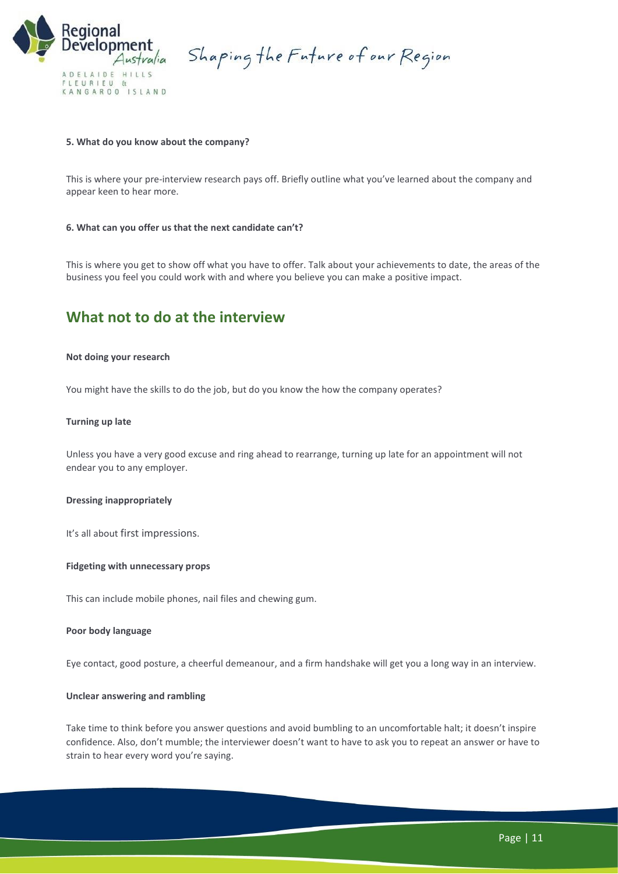

Shaping the Future of our Region

## **5. What do you know about the company?**

This is where your [pre-interview research](https://www.michaelpage.com.au/advice/career-advice/interview/how-prepare-interview) pays off. Briefly outline what you've learned about the company and appear keen to hear more.

#### **6. What can you offer us that the next candidate can't?**

This is where you get to show off what you have to offer. Talk about your achievements to date, the areas of the business you feel you could work with and where you believe you can make a positive impact.

# **What not to do at the interview**

#### **Not doing your research**

You might have the skills to do the job, but do you know the how the company operates?

#### **Turning up late**

Unless you have a very good excuse and ring ahead to rearrange, turning up late for an appointment will not endear you to any employer.

#### **Dressing inappropriately**

It's all about [first impressions](https://www.michaelpage.com.au/advice/career-advice/interview/tips-making-great-impression).

#### **Fidgeting with unnecessary props**

This can include mobile phones, nail files and chewing gum.

#### **Poor body language**

Eye contact, good posture, a cheerful demeanour, and a firm handshake will get you a long way in an interview.

#### **Unclear answering and rambling**

Take time to think before you answer questions and avoid bumbling to an uncomfortable halt; it doesn't inspire confidence. Also, don't mumble; the interviewer doesn't want to have to ask you to repeat an answer or have to strain to hear every word you're saying.